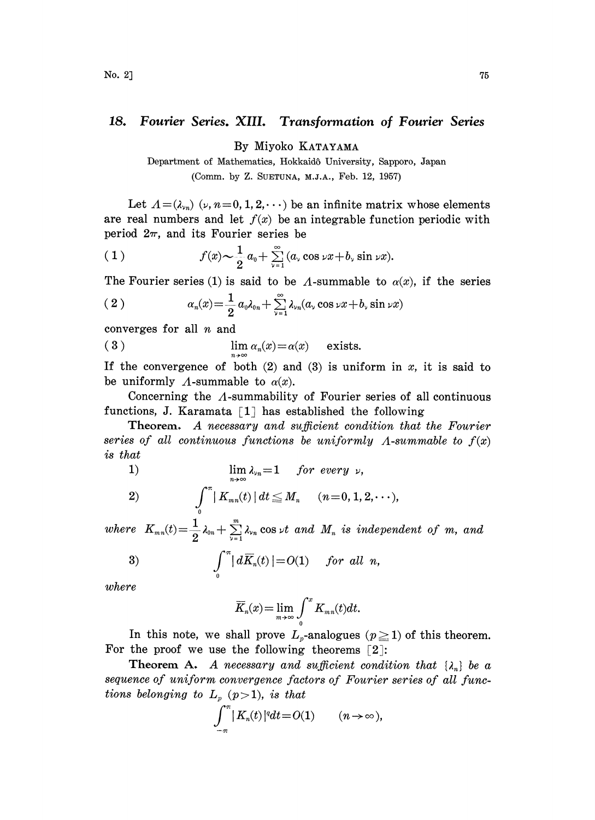## 18. Fourier Series. XIII. Transformation of Fourier Series

By Miyoko KATAYAMA

Department of Mathematics, Hokkaidô University, Sapporo, Japan (Comm. by Z. SUETUNA, M.J.A., Feb. 12, 1957)

Let  $\Lambda = (\lambda_{\nu_n})$  ( $\nu$ ,  $n=0, 1, 2, \cdots$ ) be an infinite matrix whose elements are real numbers and let  $f(x)$  be an integrable function periodic with period  $2\pi$ , and its Fourier series be

(1) 
$$
f(x) \sim \frac{1}{2} a_0 + \sum_{\nu=1}^{\infty} (a_\nu \cos \nu x + b_\nu \sin \nu x).
$$

The Fourier series (1) is said to be  $\Lambda$ -summable to  $\alpha(x)$ , if the series

(2) 
$$
\alpha_n(x) = \frac{1}{2} a_0 \lambda_{0n} + \sum_{\nu=1}^{\infty} \lambda_{\nu n} (a_\nu \cos \nu x + b_\nu \sin \nu x)
$$

converges for all  $n$  and

(3) 
$$
\lim_{n \to \infty} \alpha_n(x) = \alpha(x) \quad \text{exists.}
$$

If the convergence of both  $(2)$  and  $(3)$  is uniform in x, it is said to be uniformly  $\Lambda$ -summable to  $\alpha(x)$ .

Concerning the  $\Lambda$ -summability of Fourier series of all continuous functions, J. Karamata  $\lceil 1 \rceil$  has established the following

Theorem. A necessary and sufficient condition that the Fourier series of all continuous functions be uniformly  $\Lambda$ -summable to  $f(x)$ is that

1) 
$$
\lim_{n\to\infty}\lambda_n=1 \quad for\ every\ \nu,
$$

2) 
$$
\int_{0}^{\pi} |K_{mn}(t)| dt \leq M_n \quad (n = 0, 1, 2, \cdots),
$$

where  $K_{mn}(t)$   $=$   $\frac{1}{2}\lambda_{0n}$   $+$   $\sum\limits_{\nu=1}^m\lambda_{\nu n}$  cos  $\nu t$  and  $M_n$  is independent of  $m$ , and

$$
3) \qquad \qquad \int_{0}^{\pi} |d\overline{K}_{n}(t)| = O(1) \qquad \text{for all } n,
$$

where

$$
\overline{K}_n(x) = \lim_{m \to \infty} \int_0^x K_{mn}(t) dt.
$$

In this note, we shall prove  $L<sub>p</sub>$ -analogues  $(p \ge 1)$  of this theorem. For the proof we use the following theorems  $\lceil 2 \rceil$ :

**Theorem A.** A necessary and sufficient condition that  $\{\lambda_n\}$  be a sequence of uniform convergence factors of Fourier series of all functions belonging to  $L_p$  (p $>$ 1), is that

$$
\int_{-\pi}^{\pi} |K_n(t)|^q dt = O(1) \qquad (n \to \infty),
$$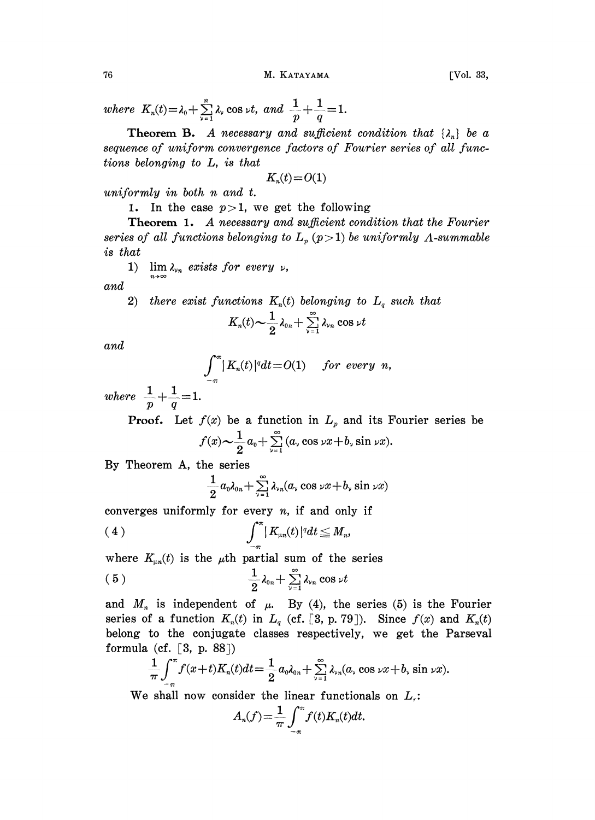$\sum_{\nu=1}^{\infty}$   $\sim$   $\infty$   $\sim$   $\nu$ ,  $\omega$   $\omega$   $p$   $q$ 

where  $K_n(t) = \lambda_0 + \sum_{\nu=1}^n \lambda_\nu \cos \nu t$ , and  $\frac{1}{p} + \frac{1}{q} = 1$ .<br>
Theorem B. A necessary and sufficient<br>
sequence of uniform convergence factors of I<br>
tions belonging to L, is that<br>  $K_n(t) = O(1)$ **Theorem B.** A necessary and sufficient condition that  $\{\lambda_n\}$  be a sequence of uniform convergence factors of Fourier series of all functions belonging to L, is that

$$
K_n(t) = O(1)
$$

uniformly in both n and t.

1. In the case  $p > 1$ , we get the following

Theorem 1. A necessary and sufficient condition that the Fourier series of all functions belonging to  $L_p$  (p > 1) be uniformly  $\Lambda$ -summable is tha

1)  $\lim_{n \to \infty} \alpha$  exists for every  $\nu$ ,

and

2) there exist functions  $K_n(t)$  belonging to  $L_q$  such that

$$
\begin{array}{l}\textit{actions} \ \ K_n(t) \ \textit{belonging} \ \ \textit{to} \\ \ \ K_n(t) \thicksim \frac{1}{2} \lambda_{0n} + \sum\limits_{\nu=1}^\infty \lambda_{\nu_n} \cos \nu t \end{array}
$$

and

$$
\int_{-\pi}^{\pi} |K_n(t)|^q dt = O(1) \quad \text{for every } n,
$$

where  $\frac{1}{p} + \frac{1}{q} = 1.$ 

**Proof.** Let  $f(x)$  be a function in  $L_p$  and its Fourier series be  $f(x) \sim \frac{1}{2} a_0 + \sum_{\nu=1}^{\infty} (a_\nu \cos \nu x + b_\nu \sin \nu x).$ 

By Theorem A, the series

$$
\frac{1}{2}a_0\lambda_{0n}+\sum_{\nu=1}^{\infty}\lambda_{\nu n}(a_{\nu}\cos\nu x+b_{\nu}\sin\nu x)
$$

converges uniformly for every  $n$ , if and only if

$$
(4) \qquad \qquad \int_{-\pi}^{\pi} |K_{\mu n}(t)|^q dt \leq M_n,
$$

where  $K_{\mu n}(t)$  is the  $\mu$ th partial sum of the series

$$
(5) \qquad \qquad \frac{1}{2}\lambda_{0n}+\sum_{\nu=1}^{\infty}\lambda_{\nu n}\cos\nu t
$$

and  $M_n$  is independent of  $\mu$ . By (4), the series (5) is the Fourier series of a function  $K_n(t)$  in  $L_q$  (cf. [3, p. 79]). Since  $f(x)$  and  $K_n(t)$ belong to the conjugate classes respectively, we get the Parseval formula (cf.  $\lceil 3, p. 88 \rceil$ )

$$
\frac{1}{\pi}\int_{-\pi}^{\pi}f(x+t)K_n(t)dt=\frac{1}{2}a_0\lambda_{0n}+\sum_{\nu=1}^{\infty}\lambda_{\nu n}(a_\nu\cos\nu x+b_\nu\sin\nu x).
$$

We shall now consider the linear functionals on  $L_i$ :

$$
A_n(f) = \frac{1}{\pi} \int_{-\pi}^{\pi} f(t) K_n(t) dt.
$$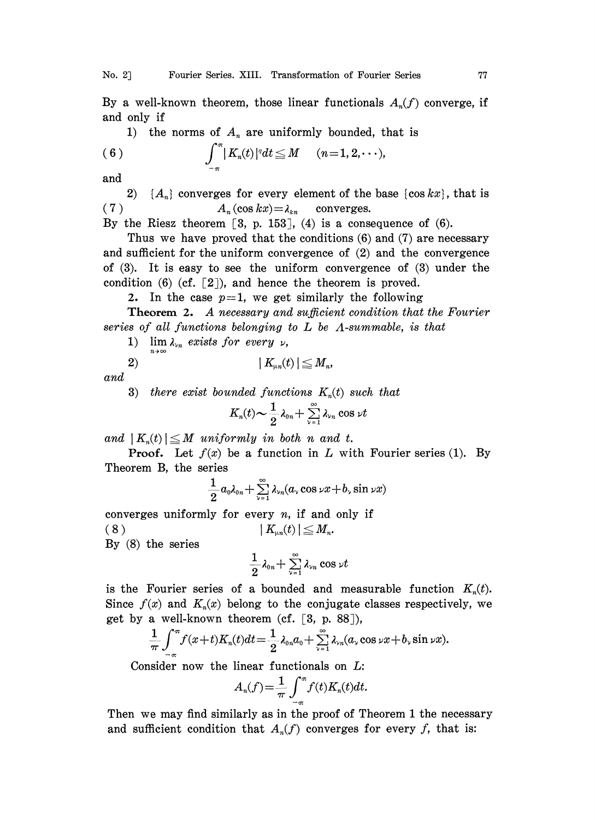By a well-known theorem, those linear functionals  $A_n(f)$  converge, if and only if

1) the norms of 
$$
A_n
$$
 are uniformly bounded, that is  
\n(6) 
$$
\int_{-\pi}^{\pi} |K_n(t)|^q dt \leq M \quad (n=1,2,\dots),
$$

and

2)  $\{A_n\}$  converges for every element of the base  $\{\cos kx\}$ , that is (7)  $A_n(\cos kx) = \lambda_{kn}$  converges.

By the Riesz theorem  $[3, p. 153]$ ,  $(4)$  is a consequence of  $(6)$ .

Thus we have proved that the conditions (6) and (7) are necessary and sufficient for the uniform convergence of (2) and the convergence of  $(3)$ . It is easy to see the uniform convergence of  $(3)$  under the condition (6) (cf. [2]), and hence the theorem is proved.

2. In the case  $p=1$ , we get similarly the following

Theorem 2. A necessary and sufficient condition that the Fourier series of all functions belonging to  $L$  be  $\Lambda$ -summable, is that

1) lim  $\lambda_{\nu n}$  exists for every  $\nu$ ,

$$
2) \hspace{3.1em} | \hspace{.1em} K_{\scriptscriptstyle \mu n}(t) \hspace{.05em} | \leq M_n,
$$

and

3) there exist bounded functions  $K_n(t)$  such that

$$
K_n(t) \sim \frac{1}{2} \lambda_{0n} + \sum_{\nu=1}^{\infty} \lambda_{\nu n} \cos \nu t
$$

and  $|K_n(t)| \leq M$  uniformly in both n and t.

**Proof.** Let  $f(x)$  be a function in L with Fourier series (1). By Theorem B, the series

$$
\frac{1}{2}a_0\lambda_{0n}+\sum_{\nu=1}^\infty\lambda_{\nu n}(a_\nu\cos\nu x+b_\nu\sin\nu x)
$$

converges uniformly for every  $n$ , if and only if  $|K_{un}(t)| \leq M_n$  $(8)$ 

By (8) the series

$$
\frac{1}{2}\lambda_{0n}+\sum_{\nu=1}^{\infty}\lambda_{\nu n}\cos\nu t
$$

is the Fourier series of a bounded and measurable function  $K_n(t)$ . Since  $f(x)$  and  $K_n(x)$  belong to the conjugate classes respectively, we get by a well-known theorem (cf.  $[3, p. 88]$ ),

$$
\frac{1}{\pi}\int_{-\pi}^{\pi}f(x+t)K_n(t)dt=\frac{1}{2}\lambda_{0n}a_0+\sum_{\nu=1}^{\infty}\lambda_{\nu n}(a_\nu\cos\nu x+b_\nu\sin\nu x).
$$

Consider now the linear functionals on L:

$$
A_n(f) = \frac{1}{\pi} \int_{-\pi}^{\pi} f(t) K_n(t) dt.
$$

Then we may find similarly as in the proof of Theorem 1 the necessary and sufficient condition that  $A_n(f)$  converges for every f, that is: